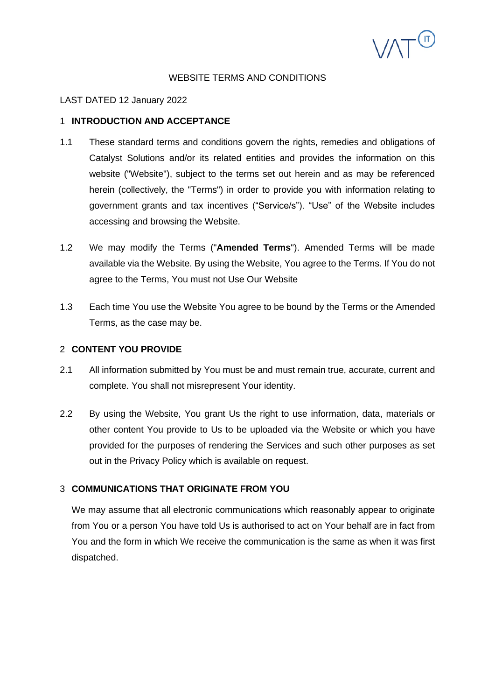

### WEBSITE TERMS AND CONDITIONS

### LAST DATED 12 January 2022

### 1 **INTRODUCTION AND ACCEPTANCE**

- 1.1 These standard terms and conditions govern the rights, remedies and obligations of Catalyst Solutions and/or its related entities and provides the information on this website ("Website"), subject to the terms set out herein and as may be referenced herein (collectively, the "Terms") in order to provide you with information relating to government grants and tax incentives ("Service/s"). "Use" of the Website includes accessing and browsing the Website.
- 1.2 We may modify the Terms ("**Amended Terms**"). Amended Terms will be made available via the Website. By using the Website, You agree to the Terms. If You do not agree to the Terms, You must not Use Our Website
- 1.3 Each time You use the Website You agree to be bound by the Terms or the Amended Terms, as the case may be.

### 2 **CONTENT YOU PROVIDE**

- 2.1 All information submitted by You must be and must remain true, accurate, current and complete. You shall not misrepresent Your identity.
- 2.2 By using the Website, You grant Us the right to use information, data, materials or other content You provide to Us to be uploaded via the Website or which you have provided for the purposes of rendering the Services and such other purposes as set out in the Privacy Policy which is available on request.

## 3 **COMMUNICATIONS THAT ORIGINATE FROM YOU**

We may assume that all electronic communications which reasonably appear to originate from You or a person You have told Us is authorised to act on Your behalf are in fact from You and the form in which We receive the communication is the same as when it was first dispatched.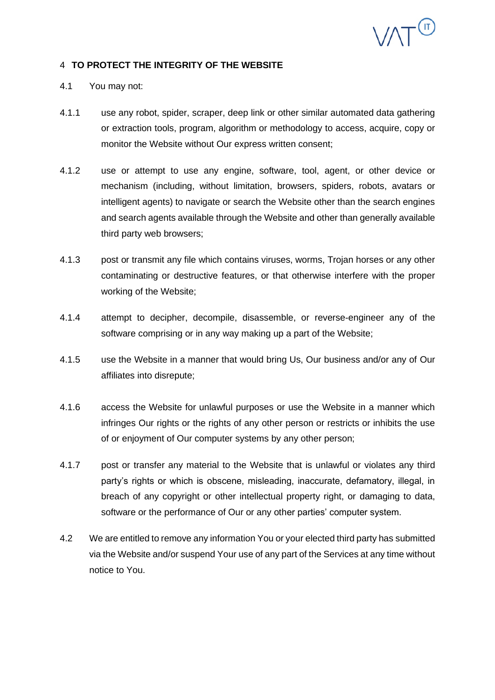

### 4 **TO PROTECT THE INTEGRITY OF THE WEBSITE**

- 4.1 You may not:
- 4.1.1 use any robot, spider, scraper, deep link or other similar automated data gathering or extraction tools, program, algorithm or methodology to access, acquire, copy or monitor the Website without Our express written consent;
- 4.1.2 use or attempt to use any engine, software, tool, agent, or other device or mechanism (including, without limitation, browsers, spiders, robots, avatars or intelligent agents) to navigate or search the Website other than the search engines and search agents available through the Website and other than generally available third party web browsers;
- 4.1.3 post or transmit any file which contains viruses, worms, Trojan horses or any other contaminating or destructive features, or that otherwise interfere with the proper working of the Website;
- 4.1.4 attempt to decipher, decompile, disassemble, or reverse-engineer any of the software comprising or in any way making up a part of the Website;
- 4.1.5 use the Website in a manner that would bring Us, Our business and/or any of Our affiliates into disrepute;
- 4.1.6 access the Website for unlawful purposes or use the Website in a manner which infringes Our rights or the rights of any other person or restricts or inhibits the use of or enjoyment of Our computer systems by any other person;
- 4.1.7 post or transfer any material to the Website that is unlawful or violates any third party's rights or which is obscene, misleading, inaccurate, defamatory, illegal, in breach of any copyright or other intellectual property right, or damaging to data, software or the performance of Our or any other parties' computer system.
- 4.2 We are entitled to remove any information You or your elected third party has submitted via the Website and/or suspend Your use of any part of the Services at any time without notice to You.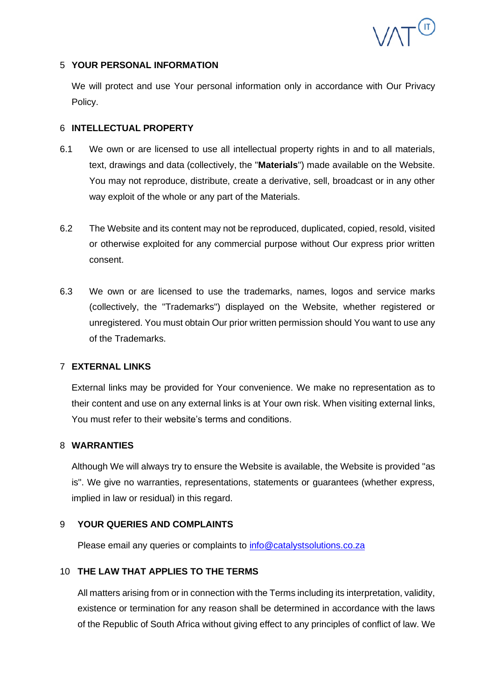

## 5 **YOUR PERSONAL INFORMATION**

We will protect and use Your personal information only in accordance with Our Privacy Policy.

## 6 **INTELLECTUAL PROPERTY**

- 6.1 We own or are licensed to use all intellectual property rights in and to all materials, text, drawings and data (collectively, the "**Materials**") made available on the Website. You may not reproduce, distribute, create a derivative, sell, broadcast or in any other way exploit of the whole or any part of the Materials.
- 6.2 The Website and its content may not be reproduced, duplicated, copied, resold, visited or otherwise exploited for any commercial purpose without Our express prior written consent.
- 6.3 We own or are licensed to use the trademarks, names, logos and service marks (collectively, the "Trademarks") displayed on the Website, whether registered or unregistered. You must obtain Our prior written permission should You want to use any of the Trademarks.

# 7 **EXTERNAL LINKS**

External links may be provided for Your convenience. We make no representation as to their content and use on any external links is at Your own risk. When visiting external links, You must refer to their website's terms and conditions.

## 8 **WARRANTIES**

Although We will always try to ensure the Website is available, the Website is provided "as is". We give no warranties, representations, statements or guarantees (whether express, implied in law or residual) in this regard.

# 9 **YOUR QUERIES AND COMPLAINTS**

Please email any queries or complaints to [info@catalystsolutions.co.za](mailto:confidentialitynotice@catalystsolutions.co.za)

# 10 **THE LAW THAT APPLIES TO THE TERMS**

All matters arising from or in connection with the Terms including its interpretation, validity, existence or termination for any reason shall be determined in accordance with the laws of the Republic of South Africa without giving effect to any principles of conflict of law. We